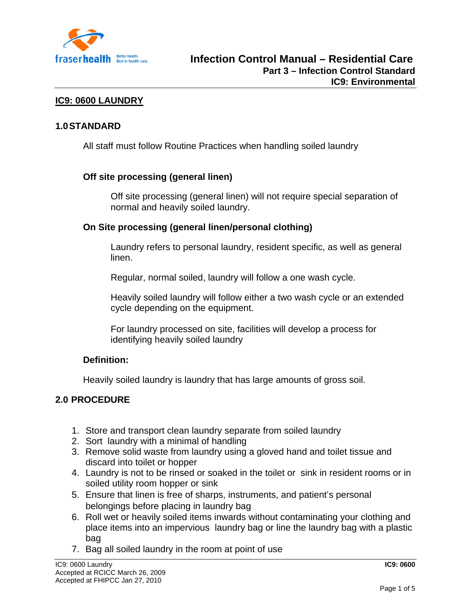

### **IC9: 0600 LAUNDRY**

#### **1.0 STANDARD**

All staff must follow Routine Practices when handling soiled laundry

#### **Off site processing (general linen)**

Off site processing (general linen) will not require special separation of normal and heavily soiled laundry.

#### **On Site processing (general linen/personal clothing)**

Laundry refers to personal laundry, resident specific, as well as general linen.

Regular, normal soiled, laundry will follow a one wash cycle.

Heavily soiled laundry will follow either a two wash cycle or an extended cycle depending on the equipment.

For laundry processed on site, facilities will develop a process for identifying heavily soiled laundry

#### **Definition:**

Heavily soiled laundry is laundry that has large amounts of gross soil.

### **2.0 PROCEDURE**

- 1. Store and transport clean laundry separate from soiled laundry
- 2. Sort laundry with a minimal of handling
- 3. Remove solid waste from laundry using a gloved hand and toilet tissue and discard into toilet or hopper
- 4. Laundry is not to be rinsed or soaked in the toilet or sink in resident rooms or in soiled utility room hopper or sink
- 5. Ensure that linen is free of sharps, instruments, and patient's personal belongings before placing in laundry bag
- 6. Roll wet or heavily soiled items inwards without contaminating your clothing and place items into an impervious laundry bag or line the laundry bag with a plastic bag
- 7. Bag all soiled laundry in the room at point of use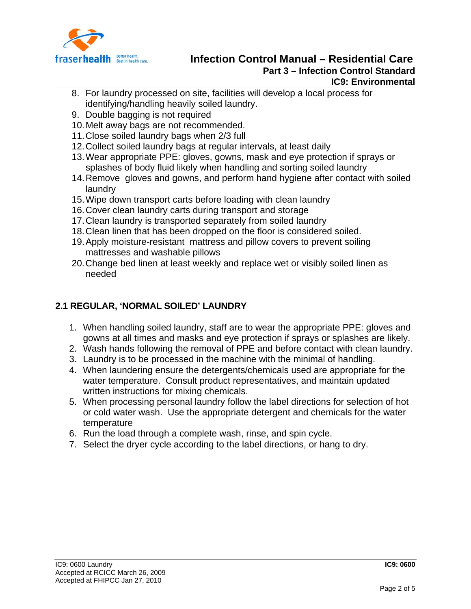

## **Infection Control Manual – Residential Care Part 3 – Infection Control Standard IC9: Environmental**

- 8. For laundry processed on site, facilities will develop a local process for identifying/handling heavily soiled laundry.
- 9. Double bagging is not required
- 10. Melt away bags are not recommended.
- 11. Close soiled laundry bags when 2/3 full
- 12. Collect soiled laundry bags at regular intervals, at least daily
- 13. Wear appropriate PPE: gloves, gowns, mask and eye protection if sprays or splashes of body fluid likely when handling and sorting soiled laundry
- 14. Remove gloves and gowns, and perform hand hygiene after contact with soiled laundry
- 15. Wipe down transport carts before loading with clean laundry
- 16. Cover clean laundry carts during transport and storage
- 17. Clean laundry is transported separately from soiled laundry
- 18. Clean linen that has been dropped on the floor is considered soiled.
- 19. Apply moisture-resistant mattress and pillow covers to prevent soiling mattresses and washable pillows
- 20. Change bed linen at least weekly and replace wet or visibly soiled linen as needed

# **2.1 REGULAR, 'NORMAL SOILED' LAUNDRY**

- 1. When handling soiled laundry, staff are to wear the appropriate PPE: gloves and gowns at all times and masks and eye protection if sprays or splashes are likely.
- 2. Wash hands following the removal of PPE and before contact with clean laundry.
- 3. Laundry is to be processed in the machine with the minimal of handling.
- 4. When laundering ensure the detergents/chemicals used are appropriate for the water temperature. Consult product representatives, and maintain updated written instructions for mixing chemicals.
- 5. When processing personal laundry follow the label directions for selection of hot or cold water wash. Use the appropriate detergent and chemicals for the water temperature
- 6. Run the load through a complete wash, rinse, and spin cycle.
- 7. Select the dryer cycle according to the label directions, or hang to dry.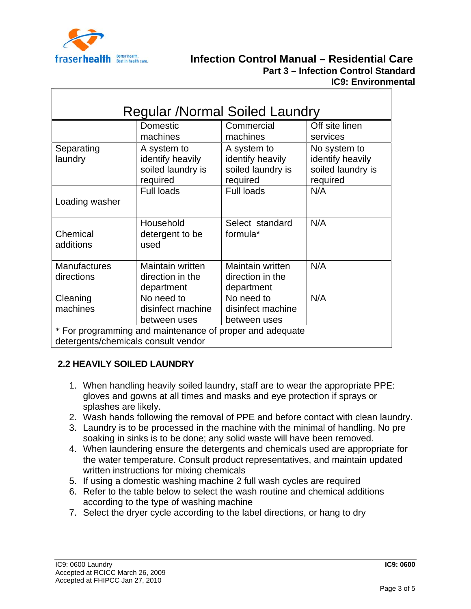

| <b>Regular /Normal Soiled Laundry</b>                                                           |                                                                  |                                                                  |                                                                   |  |
|-------------------------------------------------------------------------------------------------|------------------------------------------------------------------|------------------------------------------------------------------|-------------------------------------------------------------------|--|
|                                                                                                 | Domestic<br>machines                                             | Commercial<br>machines                                           | Off site linen<br>services                                        |  |
| Separating<br>laundry                                                                           | A system to<br>identify heavily<br>soiled laundry is<br>required | A system to<br>identify heavily<br>soiled laundry is<br>required | No system to<br>identify heavily<br>soiled laundry is<br>required |  |
| Loading washer                                                                                  | <b>Full loads</b>                                                | <b>Full loads</b>                                                | N/A                                                               |  |
| Chemical<br>additions                                                                           | Household<br>detergent to be<br>used                             | Select standard<br>formula*                                      | N/A                                                               |  |
| Manufactures<br>directions                                                                      | Maintain written<br>direction in the<br>department               | Maintain written<br>direction in the<br>department               | N/A                                                               |  |
| Cleaning<br>machines                                                                            | No need to<br>disinfect machine<br>between uses                  | No need to<br>disinfect machine<br>between uses                  | N/A                                                               |  |
| * For programming and maintenance of proper and adequate<br>detergents/chemicals consult vendor |                                                                  |                                                                  |                                                                   |  |

### **2.2 HEAVILY SOILED LAUNDRY**

- 1. When handling heavily soiled laundry, staff are to wear the appropriate PPE: gloves and gowns at all times and masks and eye protection if sprays or splashes are likely.
- 2. Wash hands following the removal of PPE and before contact with clean laundry.
- 3. Laundry is to be processed in the machine with the minimal of handling. No pre soaking in sinks is to be done; any solid waste will have been removed.
- 4. When laundering ensure the detergents and chemicals used are appropriate for the water temperature. Consult product representatives, and maintain updated written instructions for mixing chemicals
- 5. If using a domestic washing machine 2 full wash cycles are required
- 6. Refer to the table below to select the wash routine and chemical additions according to the type of washing machine
- 7. Select the dryer cycle according to the label directions, or hang to dry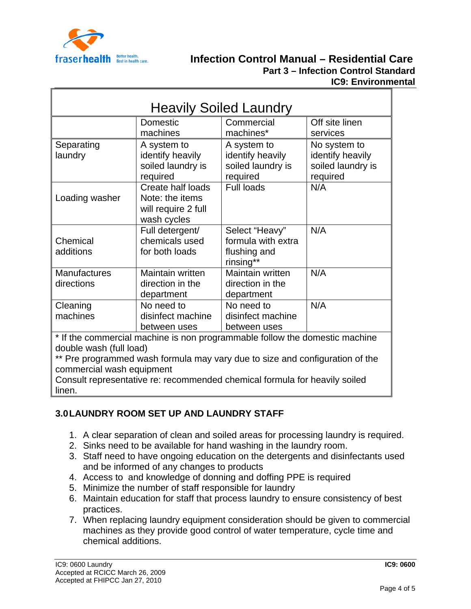

## **Infection Control Manual – Residential Care Part 3 – Infection Control Standard IC9: Environmental**

| <b>Heavily Soiled Laundry</b>                                                                                                                                                                                                                                                                     |                                                                            |                                                                   |                                                                   |  |
|---------------------------------------------------------------------------------------------------------------------------------------------------------------------------------------------------------------------------------------------------------------------------------------------------|----------------------------------------------------------------------------|-------------------------------------------------------------------|-------------------------------------------------------------------|--|
|                                                                                                                                                                                                                                                                                                   | Domestic                                                                   | Commercial                                                        | Off site linen                                                    |  |
|                                                                                                                                                                                                                                                                                                   | machines                                                                   | machines*                                                         | services                                                          |  |
| Separating<br>laundry                                                                                                                                                                                                                                                                             | A system to<br>identify heavily<br>soiled laundry is<br>required           | A system to<br>identify heavily<br>soiled laundry is<br>required  | No system to<br>identify heavily<br>soiled laundry is<br>required |  |
| Loading washer                                                                                                                                                                                                                                                                                    | Create half loads<br>Note: the items<br>will require 2 full<br>wash cycles | <b>Full loads</b>                                                 | N/A                                                               |  |
| Chemical<br>additions                                                                                                                                                                                                                                                                             | Full detergent/<br>chemicals used<br>for both loads                        | Select "Heavy"<br>formula with extra<br>flushing and<br>rinsing** | N/A                                                               |  |
| <b>Manufactures</b><br>directions                                                                                                                                                                                                                                                                 | Maintain written<br>direction in the<br>department                         | Maintain written<br>direction in the<br>department                | N/A                                                               |  |
| Cleaning<br>machines                                                                                                                                                                                                                                                                              | No need to<br>disinfect machine<br>between uses                            | No need to<br>disinfect machine<br>between uses                   | N/A                                                               |  |
| * If the commercial machine is non programmable follow the domestic machine<br>double wash (full load)<br>** Pre programmed wash formula may vary due to size and configuration of the<br>commercial wash equipment<br>Consult representative re: recommended chemical formula for heavily soiled |                                                                            |                                                                   |                                                                   |  |

linen.

# **3.0 LAUNDRY ROOM SET UP AND LAUNDRY STAFF**

- 1. A clear separation of clean and soiled areas for processing laundry is required.
- 2. Sinks need to be available for hand washing in the laundry room.
- 3. Staff need to have ongoing education on the detergents and disinfectants used and be informed of any changes to products
- 4. Access to and knowledge of donning and doffing PPE is required
- 5. Minimize the number of staff responsible for laundry
- 6. Maintain education for staff that process laundry to ensure consistency of best practices.
- 7. When replacing laundry equipment consideration should be given to commercial machines as they provide good control of water temperature, cycle time and chemical additions.